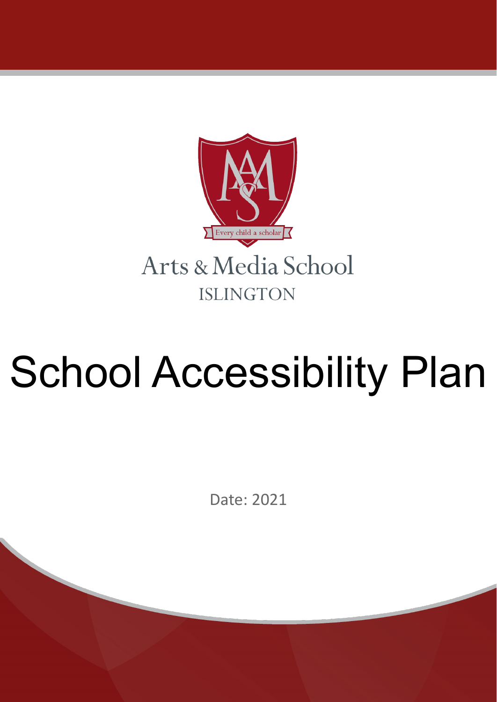

# School Accessibility Plan

Date: 2021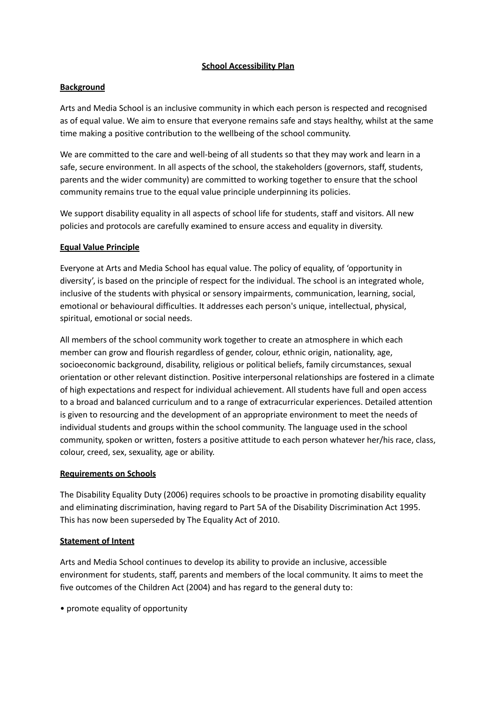# **School Accessibility Plan**

# **Background**

Arts and Media School is an inclusive community in which each person is respected and recognised as of equal value. We aim to ensure that everyone remains safe and stays healthy, whilst at the same time making a positive contribution to the wellbeing of the school community.

We are committed to the care and well-being of all students so that they may work and learn in a safe, secure environment. In all aspects of the school, the stakeholders (governors, staff, students, parents and the wider community) are committed to working together to ensure that the school community remains true to the equal value principle underpinning its policies.

We support disability equality in all aspects of school life for students, staff and visitors. All new policies and protocols are carefully examined to ensure access and equality in diversity.

# **Equal Value Principle**

Everyone at Arts and Media School has equal value. The policy of equality, of 'opportunity in diversity', is based on the principle of respect for the individual. The school is an integrated whole, inclusive of the students with physical or sensory impairments, communication, learning, social, emotional or behavioural difficulties. It addresses each person's unique, intellectual, physical, spiritual, emotional or social needs.

All members of the school community work together to create an atmosphere in which each member can grow and flourish regardless of gender, colour, ethnic origin, nationality, age, socioeconomic background, disability, religious or political beliefs, family circumstances, sexual orientation or other relevant distinction. Positive interpersonal relationships are fostered in a climate of high expectations and respect for individual achievement. All students have full and open access to a broad and balanced curriculum and to a range of extracurricular experiences. Detailed attention is given to resourcing and the development of an appropriate environment to meet the needs of individual students and groups within the school community. The language used in the school community, spoken or written, fosters a positive attitude to each person whatever her/his race, class, colour, creed, sex, sexuality, age or ability.

# **Requirements on Schools**

The Disability Equality Duty (2006) requires schools to be proactive in promoting disability equality and eliminating discrimination, having regard to Part 5A of the Disability Discrimination Act 1995. This has now been superseded by The Equality Act of 2010.

# **Statement of Intent**

Arts and Media School continues to develop its ability to provide an inclusive, accessible environment for students, staff, parents and members of the local community. It aims to meet the five outcomes of the Children Act (2004) and has regard to the general duty to:

• promote equality of opportunity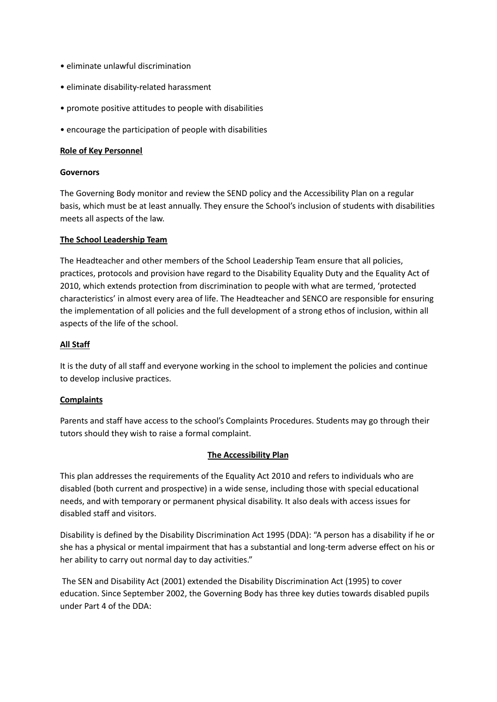- eliminate unlawful discrimination
- eliminate disability-related harassment
- promote positive attitudes to people with disabilities
- encourage the participation of people with disabilities

# **Role of Key Personnel**

#### **Governors**

The Governing Body monitor and review the SEND policy and the Accessibility Plan on a regular basis, which must be at least annually. They ensure the School's inclusion of students with disabilities meets all aspects of the law.

# **The School Leadership Team**

The Headteacher and other members of the School Leadership Team ensure that all policies, practices, protocols and provision have regard to the Disability Equality Duty and the Equality Act of 2010, which extends protection from discrimination to people with what are termed, 'protected characteristics' in almost every area of life. The Headteacher and SENCO are responsible for ensuring the implementation of all policies and the full development of a strong ethos of inclusion, within all aspects of the life of the school.

#### **All Staff**

It is the duty of all staff and everyone working in the school to implement the policies and continue to develop inclusive practices.

# **Complaints**

Parents and staff have access to the school's Complaints Procedures. Students may go through their tutors should they wish to raise a formal complaint.

# **The Accessibility Plan**

This plan addresses the requirements of the Equality Act 2010 and refers to individuals who are disabled (both current and prospective) in a wide sense, including those with special educational needs, and with temporary or permanent physical disability. It also deals with access issues for disabled staff and visitors.

Disability is defined by the Disability Discrimination Act 1995 (DDA): "A person has a disability if he or she has a physical or mental impairment that has a substantial and long-term adverse effect on his or her ability to carry out normal day to day activities."

The SEN and Disability Act (2001) extended the Disability Discrimination Act (1995) to cover education. Since September 2002, the Governing Body has three key duties towards disabled pupils under Part 4 of the DDA: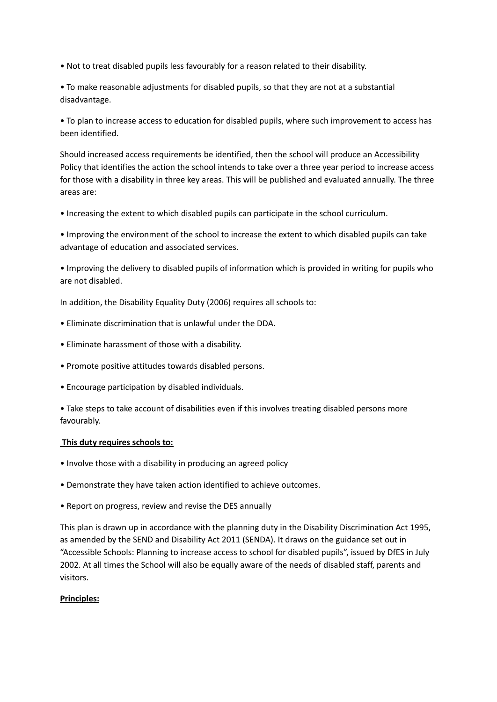• Not to treat disabled pupils less favourably for a reason related to their disability.

• To make reasonable adjustments for disabled pupils, so that they are not at a substantial disadvantage.

• To plan to increase access to education for disabled pupils, where such improvement to access has been identified.

Should increased access requirements be identified, then the school will produce an Accessibility Policy that identifies the action the school intends to take over a three year period to increase access for those with a disability in three key areas. This will be published and evaluated annually. The three areas are:

• Increasing the extent to which disabled pupils can participate in the school curriculum.

• Improving the environment of the school to increase the extent to which disabled pupils can take advantage of education and associated services.

• Improving the delivery to disabled pupils of information which is provided in writing for pupils who are not disabled.

In addition, the Disability Equality Duty (2006) requires all schools to:

- Eliminate discrimination that is unlawful under the DDA.
- Eliminate harassment of those with a disability.
- Promote positive attitudes towards disabled persons.
- Encourage participation by disabled individuals.

• Take steps to take account of disabilities even if this involves treating disabled persons more favourably.

# **This duty requires schools to:**

- Involve those with a disability in producing an agreed policy
- Demonstrate they have taken action identified to achieve outcomes.
- Report on progress, review and revise the DES annually

This plan is drawn up in accordance with the planning duty in the Disability Discrimination Act 1995, as amended by the SEND and Disability Act 2011 (SENDA). It draws on the guidance set out in "Accessible Schools: Planning to increase access to school for disabled pupils", issued by DfES in July 2002. At all times the School will also be equally aware of the needs of disabled staff, parents and visitors.

# **Principles:**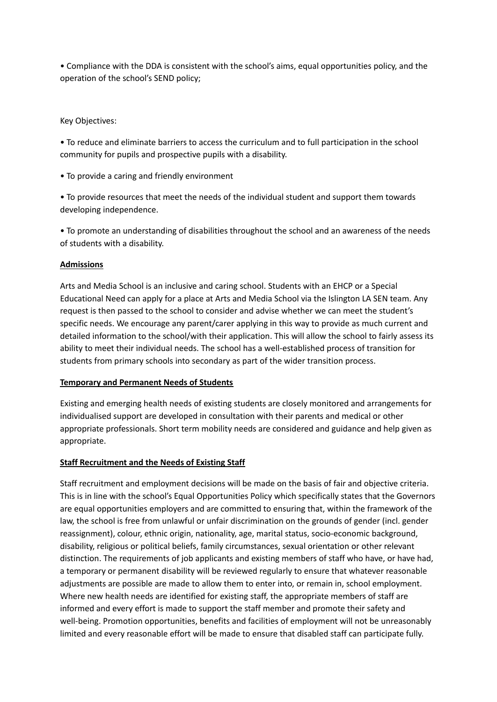• Compliance with the DDA is consistent with the school's aims, equal opportunities policy, and the operation of the school's SEND policy;

Key Objectives:

• To reduce and eliminate barriers to access the curriculum and to full participation in the school community for pupils and prospective pupils with a disability.

• To provide a caring and friendly environment

• To provide resources that meet the needs of the individual student and support them towards developing independence.

• To promote an understanding of disabilities throughout the school and an awareness of the needs of students with a disability.

# **Admissions**

Arts and Media School is an inclusive and caring school. Students with an EHCP or a Special Educational Need can apply for a place at Arts and Media School via the Islington LA SEN team. Any request is then passed to the school to consider and advise whether we can meet the student's specific needs. We encourage any parent/carer applying in this way to provide as much current and detailed information to the school/with their application. This will allow the school to fairly assess its ability to meet their individual needs. The school has a well-established process of transition for students from primary schools into secondary as part of the wider transition process.

# **Temporary and Permanent Needs of Students**

Existing and emerging health needs of existing students are closely monitored and arrangements for individualised support are developed in consultation with their parents and medical or other appropriate professionals. Short term mobility needs are considered and guidance and help given as appropriate.

# **Staff Recruitment and the Needs of Existing Staff**

Staff recruitment and employment decisions will be made on the basis of fair and objective criteria. This is in line with the school's Equal Opportunities Policy which specifically states that the Governors are equal opportunities employers and are committed to ensuring that, within the framework of the law, the school is free from unlawful or unfair discrimination on the grounds of gender (incl. gender reassignment), colour, ethnic origin, nationality, age, marital status, socio-economic background, disability, religious or political beliefs, family circumstances, sexual orientation or other relevant distinction. The requirements of job applicants and existing members of staff who have, or have had, a temporary or permanent disability will be reviewed regularly to ensure that whatever reasonable adjustments are possible are made to allow them to enter into, or remain in, school employment. Where new health needs are identified for existing staff, the appropriate members of staff are informed and every effort is made to support the staff member and promote their safety and well-being. Promotion opportunities, benefits and facilities of employment will not be unreasonably limited and every reasonable effort will be made to ensure that disabled staff can participate fully.